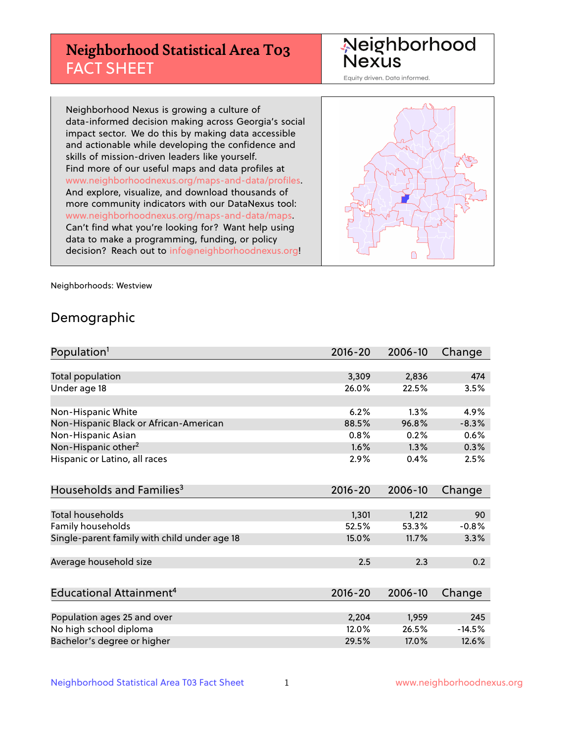## **Neighborhood Statistical Area T03** FACT SHEET

Neighborhood Nexus

Equity driven. Data informed.

Neighborhood Nexus is growing a culture of data-informed decision making across Georgia's social impact sector. We do this by making data accessible and actionable while developing the confidence and skills of mission-driven leaders like yourself. Find more of our useful maps and data profiles at www.neighborhoodnexus.org/maps-and-data/profiles. And explore, visualize, and download thousands of more community indicators with our DataNexus tool: www.neighborhoodnexus.org/maps-and-data/maps. Can't find what you're looking for? Want help using data to make a programming, funding, or policy decision? Reach out to [info@neighborhoodnexus.org!](mailto:info@neighborhoodnexus.org)



Neighborhoods: Westview

### Demographic

| Population <sup>1</sup>                      | $2016 - 20$ | 2006-10 | Change   |
|----------------------------------------------|-------------|---------|----------|
|                                              |             |         |          |
| Total population                             | 3,309       | 2,836   | 474      |
| Under age 18                                 | 26.0%       | 22.5%   | 3.5%     |
|                                              |             |         |          |
| Non-Hispanic White                           | 6.2%        | 1.3%    | 4.9%     |
| Non-Hispanic Black or African-American       | 88.5%       | 96.8%   | $-8.3%$  |
| Non-Hispanic Asian                           | 0.8%        | 0.2%    | 0.6%     |
| Non-Hispanic other <sup>2</sup>              | 1.6%        | 1.3%    | 0.3%     |
| Hispanic or Latino, all races                | 2.9%        | 0.4%    | 2.5%     |
|                                              |             |         |          |
| Households and Families <sup>3</sup>         | $2016 - 20$ | 2006-10 | Change   |
|                                              |             |         |          |
| Total households                             | 1,301       | 1,212   | 90       |
| <b>Family households</b>                     | 52.5%       | 53.3%   | $-0.8%$  |
| Single-parent family with child under age 18 | 15.0%       | 11.7%   | 3.3%     |
|                                              |             |         |          |
| Average household size                       | 2.5         | 2.3     | 0.2      |
|                                              |             |         |          |
| Educational Attainment <sup>4</sup>          | $2016 - 20$ | 2006-10 | Change   |
|                                              |             |         |          |
| Population ages 25 and over                  | 2,204       | 1,959   | 245      |
| No high school diploma                       | 12.0%       | 26.5%   | $-14.5%$ |
| Bachelor's degree or higher                  | 29.5%       | 17.0%   | 12.6%    |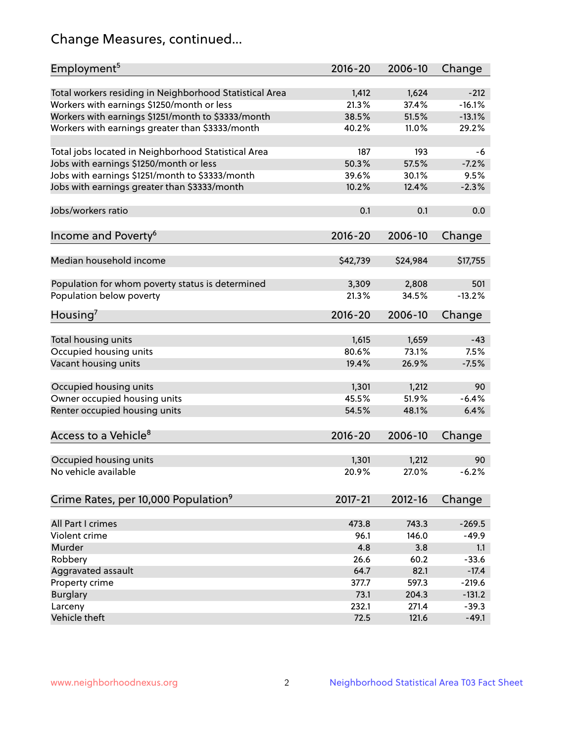## Change Measures, continued...

| Employment <sup>5</sup>                                 | $2016 - 20$   | 2006-10       | Change              |
|---------------------------------------------------------|---------------|---------------|---------------------|
| Total workers residing in Neighborhood Statistical Area | 1,412         | 1,624         | $-212$              |
| Workers with earnings \$1250/month or less              | 21.3%         | 37.4%         | $-16.1%$            |
| Workers with earnings \$1251/month to \$3333/month      | 38.5%         | 51.5%         | $-13.1%$            |
| Workers with earnings greater than \$3333/month         | 40.2%         | 11.0%         | 29.2%               |
|                                                         |               |               |                     |
| Total jobs located in Neighborhood Statistical Area     | 187           | 193           | -6                  |
| Jobs with earnings \$1250/month or less                 | 50.3%         | 57.5%         | $-7.2%$             |
| Jobs with earnings \$1251/month to \$3333/month         | 39.6%         | 30.1%         | 9.5%                |
| Jobs with earnings greater than \$3333/month            | 10.2%         | 12.4%         | $-2.3%$             |
|                                                         |               |               |                     |
| Jobs/workers ratio                                      | 0.1           | 0.1           | 0.0                 |
|                                                         |               |               |                     |
| Income and Poverty <sup>6</sup>                         | 2016-20       | 2006-10       | Change              |
|                                                         |               |               |                     |
| Median household income                                 | \$42,739      | \$24,984      | \$17,755            |
|                                                         |               |               |                     |
| Population for whom poverty status is determined        | 3,309         | 2,808         | 501                 |
| Population below poverty                                | 21.3%         | 34.5%         | $-13.2%$            |
|                                                         |               |               |                     |
| Housing'                                                | $2016 - 20$   | 2006-10       | Change              |
|                                                         |               |               |                     |
| Total housing units                                     | 1,615         | 1,659         | $-43$               |
| Occupied housing units                                  | 80.6%         | 73.1%         | 7.5%                |
| Vacant housing units                                    | 19.4%         | 26.9%         | $-7.5%$             |
|                                                         |               |               |                     |
| Occupied housing units                                  | 1,301         | 1,212         | 90                  |
| Owner occupied housing units                            | 45.5%         | 51.9%         | $-6.4%$             |
| Renter occupied housing units                           | 54.5%         | 48.1%         | 6.4%                |
|                                                         |               |               |                     |
| Access to a Vehicle <sup>8</sup>                        | $2016 - 20$   | 2006-10       | Change              |
|                                                         |               |               |                     |
| Occupied housing units                                  | 1,301         | 1,212         | 90                  |
| No vehicle available                                    | 20.9%         | 27.0%         | $-6.2%$             |
|                                                         |               |               |                     |
| Crime Rates, per 10,000 Population <sup>9</sup>         | 2017-21       | 2012-16       | Change              |
|                                                         |               |               |                     |
| All Part I crimes                                       | 473.8         | 743.3         | $-269.5$            |
| Violent crime                                           | 96.1          | 146.0         | $-49.9$             |
| Murder                                                  | 4.8           | 3.8           | 1.1                 |
| Robbery                                                 | 26.6          | 60.2          | $-33.6$             |
|                                                         |               |               |                     |
| Aggravated assault                                      | 64.7          | 82.1<br>597.3 | $-17.4$<br>$-219.6$ |
| Property crime                                          | 377.7<br>73.1 | 204.3         | $-131.2$            |
| <b>Burglary</b>                                         |               |               |                     |
| Larceny                                                 | 232.1         | 271.4         | $-39.3$             |
| Vehicle theft                                           | 72.5          | 121.6         | $-49.1$             |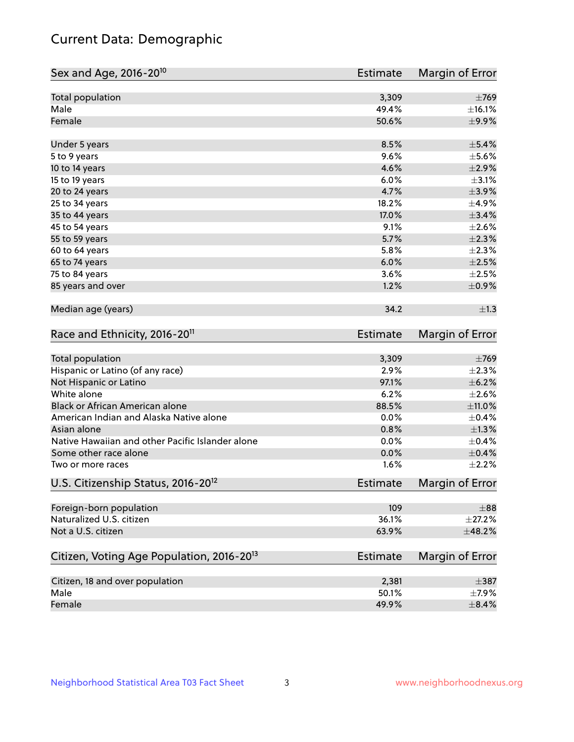## Current Data: Demographic

| Total population<br>3,309<br>Male<br>49.4%<br>Female<br>50.6%<br>8.5%<br>$\pm$ 5.4%<br>Under 5 years<br>9.6%<br>5 to 9 years<br>4.6%<br>10 to 14 years<br>6.0%<br>15 to 19 years<br>4.7%<br>20 to 24 years<br>18.2%<br>25 to 34 years<br>35 to 44 years<br>17.0%<br>9.1%<br>45 to 54 years<br>55 to 59 years<br>5.7%<br>5.8%<br>60 to 64 years<br>65 to 74 years<br>6.0%<br>75 to 84 years<br>3.6%<br>85 years and over<br>1.2%<br>Median age (years)<br>34.2<br>Race and Ethnicity, 2016-20 <sup>11</sup><br><b>Estimate</b><br>Total population<br>3,309<br>$\pm 769$<br>Hispanic or Latino (of any race)<br>2.9%<br>$\pm 2.3\%$<br>97.1%<br>$\pm$ 6.2%<br>Not Hispanic or Latino<br>White alone<br>6.2%<br>$\pm 2.6\%$<br>Black or African American alone<br>$\pm$ 11.0%<br>88.5%<br>American Indian and Alaska Native alone<br>0.0%<br>$\pm$ 0.4%<br>$\pm 1.3\%$<br>Asian alone<br>0.8%<br>Native Hawaiian and other Pacific Islander alone<br>0.0%<br>$\pm$ 0.4%<br>$\pm$ 0.4%<br>Some other race alone<br>0.0%<br>1.6%<br>Two or more races<br>U.S. Citizenship Status, 2016-20 <sup>12</sup><br>Estimate<br>Foreign-born population<br>109<br>$\pm$ 88<br>Naturalized U.S. citizen<br>36.1%<br>$\pm 27.2\%$<br>Not a U.S. citizen<br>63.9%<br>±48.2%<br>Citizen, Voting Age Population, 2016-20 <sup>13</sup><br><b>Estimate</b><br>Citizen, 18 and over population<br>$\pm$ 387<br>2,381<br>Male<br>50.1%<br>$\pm$ 7.9% | Sex and Age, 2016-20 <sup>10</sup> | <b>Estimate</b> | Margin of Error |
|---------------------------------------------------------------------------------------------------------------------------------------------------------------------------------------------------------------------------------------------------------------------------------------------------------------------------------------------------------------------------------------------------------------------------------------------------------------------------------------------------------------------------------------------------------------------------------------------------------------------------------------------------------------------------------------------------------------------------------------------------------------------------------------------------------------------------------------------------------------------------------------------------------------------------------------------------------------------------------------------------------------------------------------------------------------------------------------------------------------------------------------------------------------------------------------------------------------------------------------------------------------------------------------------------------------------------------------------------------------------------------------------------------------------------------|------------------------------------|-----------------|-----------------|
|                                                                                                                                                                                                                                                                                                                                                                                                                                                                                                                                                                                                                                                                                                                                                                                                                                                                                                                                                                                                                                                                                                                                                                                                                                                                                                                                                                                                                                 |                                    |                 | $\pm 769$       |
|                                                                                                                                                                                                                                                                                                                                                                                                                                                                                                                                                                                                                                                                                                                                                                                                                                                                                                                                                                                                                                                                                                                                                                                                                                                                                                                                                                                                                                 |                                    |                 | ±16.1%          |
|                                                                                                                                                                                                                                                                                                                                                                                                                                                                                                                                                                                                                                                                                                                                                                                                                                                                                                                                                                                                                                                                                                                                                                                                                                                                                                                                                                                                                                 |                                    |                 | $\pm$ 9.9%      |
|                                                                                                                                                                                                                                                                                                                                                                                                                                                                                                                                                                                                                                                                                                                                                                                                                                                                                                                                                                                                                                                                                                                                                                                                                                                                                                                                                                                                                                 |                                    |                 |                 |
|                                                                                                                                                                                                                                                                                                                                                                                                                                                                                                                                                                                                                                                                                                                                                                                                                                                                                                                                                                                                                                                                                                                                                                                                                                                                                                                                                                                                                                 |                                    |                 | $\pm$ 5.6%      |
|                                                                                                                                                                                                                                                                                                                                                                                                                                                                                                                                                                                                                                                                                                                                                                                                                                                                                                                                                                                                                                                                                                                                                                                                                                                                                                                                                                                                                                 |                                    |                 | $\pm 2.9\%$     |
|                                                                                                                                                                                                                                                                                                                                                                                                                                                                                                                                                                                                                                                                                                                                                                                                                                                                                                                                                                                                                                                                                                                                                                                                                                                                                                                                                                                                                                 |                                    |                 | $\pm$ 3.1%      |
|                                                                                                                                                                                                                                                                                                                                                                                                                                                                                                                                                                                                                                                                                                                                                                                                                                                                                                                                                                                                                                                                                                                                                                                                                                                                                                                                                                                                                                 |                                    |                 | $\pm$ 3.9%      |
|                                                                                                                                                                                                                                                                                                                                                                                                                                                                                                                                                                                                                                                                                                                                                                                                                                                                                                                                                                                                                                                                                                                                                                                                                                                                                                                                                                                                                                 |                                    |                 | $\pm$ 4.9%      |
|                                                                                                                                                                                                                                                                                                                                                                                                                                                                                                                                                                                                                                                                                                                                                                                                                                                                                                                                                                                                                                                                                                                                                                                                                                                                                                                                                                                                                                 |                                    |                 | $\pm$ 3.4%      |
|                                                                                                                                                                                                                                                                                                                                                                                                                                                                                                                                                                                                                                                                                                                                                                                                                                                                                                                                                                                                                                                                                                                                                                                                                                                                                                                                                                                                                                 |                                    |                 | $\pm 2.6\%$     |
|                                                                                                                                                                                                                                                                                                                                                                                                                                                                                                                                                                                                                                                                                                                                                                                                                                                                                                                                                                                                                                                                                                                                                                                                                                                                                                                                                                                                                                 |                                    |                 | $\pm 2.3\%$     |
|                                                                                                                                                                                                                                                                                                                                                                                                                                                                                                                                                                                                                                                                                                                                                                                                                                                                                                                                                                                                                                                                                                                                                                                                                                                                                                                                                                                                                                 |                                    |                 | $\pm 2.3\%$     |
|                                                                                                                                                                                                                                                                                                                                                                                                                                                                                                                                                                                                                                                                                                                                                                                                                                                                                                                                                                                                                                                                                                                                                                                                                                                                                                                                                                                                                                 |                                    |                 | $\pm 2.5\%$     |
|                                                                                                                                                                                                                                                                                                                                                                                                                                                                                                                                                                                                                                                                                                                                                                                                                                                                                                                                                                                                                                                                                                                                                                                                                                                                                                                                                                                                                                 |                                    |                 | $\pm 2.5\%$     |
|                                                                                                                                                                                                                                                                                                                                                                                                                                                                                                                                                                                                                                                                                                                                                                                                                                                                                                                                                                                                                                                                                                                                                                                                                                                                                                                                                                                                                                 |                                    |                 | $\pm$ 0.9%      |
|                                                                                                                                                                                                                                                                                                                                                                                                                                                                                                                                                                                                                                                                                                                                                                                                                                                                                                                                                                                                                                                                                                                                                                                                                                                                                                                                                                                                                                 |                                    |                 | $\pm 1.3$       |
|                                                                                                                                                                                                                                                                                                                                                                                                                                                                                                                                                                                                                                                                                                                                                                                                                                                                                                                                                                                                                                                                                                                                                                                                                                                                                                                                                                                                                                 |                                    |                 | Margin of Error |
|                                                                                                                                                                                                                                                                                                                                                                                                                                                                                                                                                                                                                                                                                                                                                                                                                                                                                                                                                                                                                                                                                                                                                                                                                                                                                                                                                                                                                                 |                                    |                 |                 |
|                                                                                                                                                                                                                                                                                                                                                                                                                                                                                                                                                                                                                                                                                                                                                                                                                                                                                                                                                                                                                                                                                                                                                                                                                                                                                                                                                                                                                                 |                                    |                 |                 |
|                                                                                                                                                                                                                                                                                                                                                                                                                                                                                                                                                                                                                                                                                                                                                                                                                                                                                                                                                                                                                                                                                                                                                                                                                                                                                                                                                                                                                                 |                                    |                 |                 |
|                                                                                                                                                                                                                                                                                                                                                                                                                                                                                                                                                                                                                                                                                                                                                                                                                                                                                                                                                                                                                                                                                                                                                                                                                                                                                                                                                                                                                                 |                                    |                 |                 |
|                                                                                                                                                                                                                                                                                                                                                                                                                                                                                                                                                                                                                                                                                                                                                                                                                                                                                                                                                                                                                                                                                                                                                                                                                                                                                                                                                                                                                                 |                                    |                 |                 |
|                                                                                                                                                                                                                                                                                                                                                                                                                                                                                                                                                                                                                                                                                                                                                                                                                                                                                                                                                                                                                                                                                                                                                                                                                                                                                                                                                                                                                                 |                                    |                 |                 |
|                                                                                                                                                                                                                                                                                                                                                                                                                                                                                                                                                                                                                                                                                                                                                                                                                                                                                                                                                                                                                                                                                                                                                                                                                                                                                                                                                                                                                                 |                                    |                 |                 |
|                                                                                                                                                                                                                                                                                                                                                                                                                                                                                                                                                                                                                                                                                                                                                                                                                                                                                                                                                                                                                                                                                                                                                                                                                                                                                                                                                                                                                                 |                                    |                 |                 |
|                                                                                                                                                                                                                                                                                                                                                                                                                                                                                                                                                                                                                                                                                                                                                                                                                                                                                                                                                                                                                                                                                                                                                                                                                                                                                                                                                                                                                                 |                                    |                 |                 |
|                                                                                                                                                                                                                                                                                                                                                                                                                                                                                                                                                                                                                                                                                                                                                                                                                                                                                                                                                                                                                                                                                                                                                                                                                                                                                                                                                                                                                                 |                                    |                 | $\pm 2.2\%$     |
|                                                                                                                                                                                                                                                                                                                                                                                                                                                                                                                                                                                                                                                                                                                                                                                                                                                                                                                                                                                                                                                                                                                                                                                                                                                                                                                                                                                                                                 |                                    |                 | Margin of Error |
|                                                                                                                                                                                                                                                                                                                                                                                                                                                                                                                                                                                                                                                                                                                                                                                                                                                                                                                                                                                                                                                                                                                                                                                                                                                                                                                                                                                                                                 |                                    |                 |                 |
|                                                                                                                                                                                                                                                                                                                                                                                                                                                                                                                                                                                                                                                                                                                                                                                                                                                                                                                                                                                                                                                                                                                                                                                                                                                                                                                                                                                                                                 |                                    |                 |                 |
|                                                                                                                                                                                                                                                                                                                                                                                                                                                                                                                                                                                                                                                                                                                                                                                                                                                                                                                                                                                                                                                                                                                                                                                                                                                                                                                                                                                                                                 |                                    |                 |                 |
|                                                                                                                                                                                                                                                                                                                                                                                                                                                                                                                                                                                                                                                                                                                                                                                                                                                                                                                                                                                                                                                                                                                                                                                                                                                                                                                                                                                                                                 |                                    |                 | Margin of Error |
|                                                                                                                                                                                                                                                                                                                                                                                                                                                                                                                                                                                                                                                                                                                                                                                                                                                                                                                                                                                                                                                                                                                                                                                                                                                                                                                                                                                                                                 |                                    |                 |                 |
|                                                                                                                                                                                                                                                                                                                                                                                                                                                                                                                                                                                                                                                                                                                                                                                                                                                                                                                                                                                                                                                                                                                                                                                                                                                                                                                                                                                                                                 |                                    |                 |                 |
|                                                                                                                                                                                                                                                                                                                                                                                                                                                                                                                                                                                                                                                                                                                                                                                                                                                                                                                                                                                                                                                                                                                                                                                                                                                                                                                                                                                                                                 | Female                             | 49.9%           | $\pm$ 8.4%      |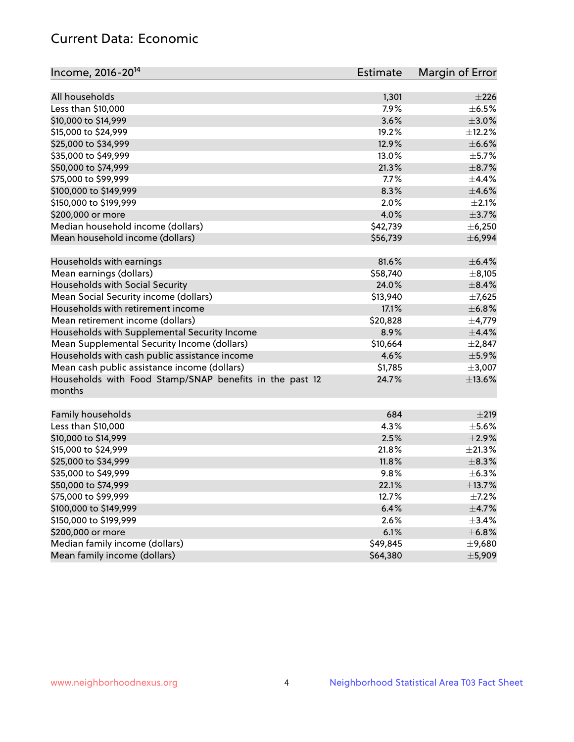## Current Data: Economic

| Income, 2016-20 <sup>14</sup>                           | Estimate | Margin of Error    |
|---------------------------------------------------------|----------|--------------------|
|                                                         |          |                    |
| All households                                          | 1,301    | $\pm 226$          |
| Less than \$10,000                                      | 7.9%     | $\pm$ 6.5%         |
| \$10,000 to \$14,999                                    | 3.6%     | $\pm$ 3.0%         |
| \$15,000 to \$24,999                                    | 19.2%    | ±12.2%             |
| \$25,000 to \$34,999                                    | 12.9%    | $\pm$ 6.6%         |
| \$35,000 to \$49,999                                    | 13.0%    | $\pm$ 5.7%         |
| \$50,000 to \$74,999                                    | 21.3%    | $\pm$ 8.7%         |
| \$75,000 to \$99,999                                    | 7.7%     | $\pm$ 4.4%         |
| \$100,000 to \$149,999                                  | 8.3%     | $\pm 4.6\%$        |
| \$150,000 to \$199,999                                  | 2.0%     | $\pm 2.1\%$        |
| \$200,000 or more                                       | 4.0%     | $\pm$ 3.7%         |
| Median household income (dollars)                       | \$42,739 | ± 6,250            |
| Mean household income (dollars)                         | \$56,739 | ± 6,994            |
| Households with earnings                                | 81.6%    | $\pm$ 6.4%         |
| Mean earnings (dollars)                                 | \$58,740 | $\pm$ 8,105        |
| Households with Social Security                         | 24.0%    | $\pm$ 8.4%         |
| Mean Social Security income (dollars)                   | \$13,940 | $\pm$ 7,625        |
| Households with retirement income                       | 17.1%    | ±6.8%              |
| Mean retirement income (dollars)                        | \$20,828 | $\pm$ 4,779        |
| Households with Supplemental Security Income            | 8.9%     | $\pm$ 4.4%         |
| Mean Supplemental Security Income (dollars)             | \$10,664 | $\pm 2,847$        |
| Households with cash public assistance income           | 4.6%     | $\pm$ 5.9%         |
| Mean cash public assistance income (dollars)            | \$1,785  | $\pm$ 3,007        |
| Households with Food Stamp/SNAP benefits in the past 12 | 24.7%    | $\pm$ 13.6%        |
| months                                                  |          |                    |
|                                                         | 684      |                    |
| Family households<br>Less than \$10,000                 | 4.3%     | ±219<br>$\pm$ 5.6% |
| \$10,000 to \$14,999                                    | 2.5%     | $\pm 2.9\%$        |
| \$15,000 to \$24,999                                    | 21.8%    | $\pm 21.3\%$       |
| \$25,000 to \$34,999                                    | 11.8%    | $\pm$ 8.3%         |
|                                                         |          |                    |
| \$35,000 to \$49,999                                    | 9.8%     | $\pm$ 6.3%         |
| \$50,000 to \$74,999                                    | 22.1%    | ±13.7%             |
| \$75,000 to \$99,999                                    | 12.7%    | $\pm$ 7.2%         |
| \$100,000 to \$149,999                                  | 6.4%     | $\pm$ 4.7%         |
| \$150,000 to \$199,999                                  | 2.6%     | $\pm$ 3.4%         |
| \$200,000 or more                                       | 6.1%     | ±6.8%              |
| Median family income (dollars)                          | \$49,845 | $\pm$ 9,680        |
| Mean family income (dollars)                            | \$64,380 | ±5,909             |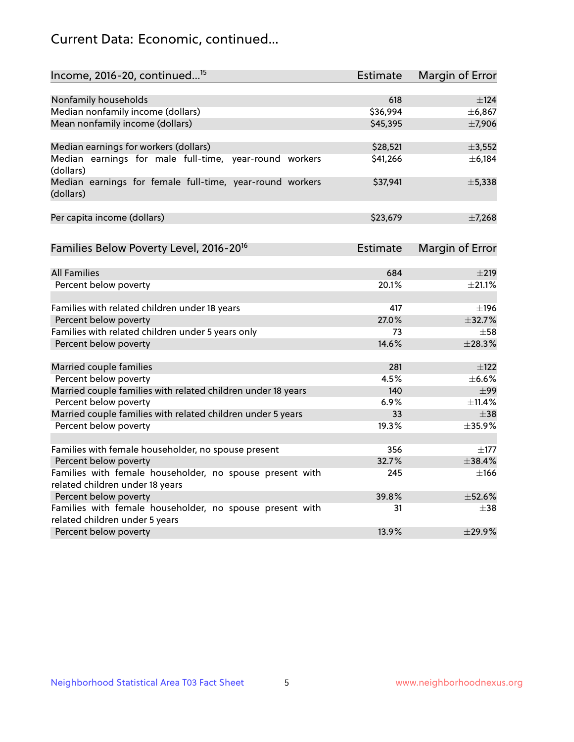## Current Data: Economic, continued...

| Income, 2016-20, continued <sup>15</sup>                              | <b>Estimate</b> | Margin of Error        |
|-----------------------------------------------------------------------|-----------------|------------------------|
|                                                                       |                 |                        |
| Nonfamily households                                                  | 618             | $\pm$ 124              |
| Median nonfamily income (dollars)                                     | \$36,994        | ±6,867                 |
| Mean nonfamily income (dollars)                                       | \$45,395        | ±7,906                 |
| Median earnings for workers (dollars)                                 | \$28,521        | ±3,552                 |
| Median earnings for male full-time, year-round workers<br>(dollars)   | \$41,266        | ± 6,184                |
| Median earnings for female full-time, year-round workers<br>(dollars) | \$37,941        | ±5,338                 |
| Per capita income (dollars)                                           | \$23,679        | ±7,268                 |
| Families Below Poverty Level, 2016-20 <sup>16</sup>                   | <b>Estimate</b> | <b>Margin of Error</b> |
|                                                                       |                 |                        |
| <b>All Families</b>                                                   | 684             | $\pm 219$              |
| Percent below poverty                                                 | 20.1%           | ±21.1%                 |
| Families with related children under 18 years                         | 417             | ±196                   |
| Percent below poverty                                                 | 27.0%           | ±32.7%                 |
| Families with related children under 5 years only                     | 73              | $\pm$ 58               |
| Percent below poverty                                                 | 14.6%           | ±28.3%                 |
| Married couple families                                               | 281             | $\pm$ 122              |
| Percent below poverty                                                 | 4.5%            | $\pm$ 6.6%             |
| Married couple families with related children under 18 years          | 140             | $\pm$ 99               |
| Percent below poverty                                                 | 6.9%            | ±11.4%                 |
| Married couple families with related children under 5 years           | 33              | $\pm$ 38               |
| Percent below poverty                                                 | 19.3%           | ±35.9%                 |
| Families with female householder, no spouse present                   | 356             | $\pm$ 177              |
| Percent below poverty                                                 | 32.7%           | ±38.4%                 |
| Families with female householder, no spouse present with              | 245             | $\pm$ 166              |
| related children under 18 years                                       |                 |                        |
| Percent below poverty                                                 | 39.8%           | ±52.6%                 |
| Families with female householder, no spouse present with              | 31              | $\pm$ 38               |
| related children under 5 years                                        |                 |                        |
| Percent below poverty                                                 | 13.9%           | ±29.9%                 |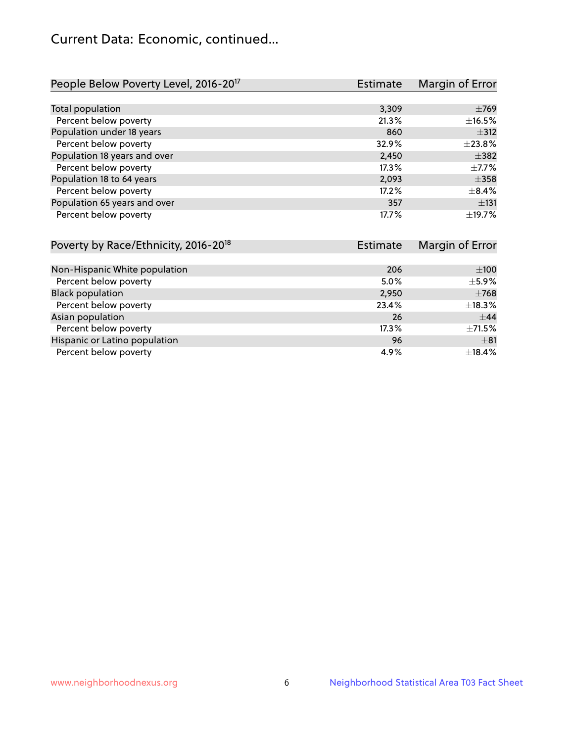## Current Data: Economic, continued...

| People Below Poverty Level, 2016-20 <sup>17</sup> | <b>Estimate</b> | Margin of Error |
|---------------------------------------------------|-----------------|-----------------|
|                                                   |                 |                 |
| Total population                                  | 3,309           | $\pm 769$       |
| Percent below poverty                             | 21.3%           | ±16.5%          |
| Population under 18 years                         | 860             | $\pm$ 312       |
| Percent below poverty                             | 32.9%           | ±23.8%          |
| Population 18 years and over                      | 2,450           | $\pm$ 382       |
| Percent below poverty                             | 17.3%           | $\pm$ 7.7%      |
| Population 18 to 64 years                         | 2,093           | $\pm$ 358       |
| Percent below poverty                             | 17.2%           | $\pm$ 8.4%      |
| Population 65 years and over                      | 357             | ±131            |
| Percent below poverty                             | 17.7%           | ±19.7%          |

| Poverty by Race/Ethnicity, 2016-20 <sup>18</sup> | <b>Estimate</b> | Margin of Error |
|--------------------------------------------------|-----------------|-----------------|
|                                                  |                 |                 |
| Non-Hispanic White population                    | 206             | $\pm 100$       |
| Percent below poverty                            | 5.0%            | $\pm$ 5.9%      |
| <b>Black population</b>                          | 2,950           | $\pm 768$       |
| Percent below poverty                            | 23.4%           | ±18.3%          |
| Asian population                                 | 26              | $\pm$ 44        |
| Percent below poverty                            | 17.3%           | $\pm$ 71.5%     |
| Hispanic or Latino population                    | 96              | $\pm$ 81        |
| Percent below poverty                            | 4.9%            | ±18.4%          |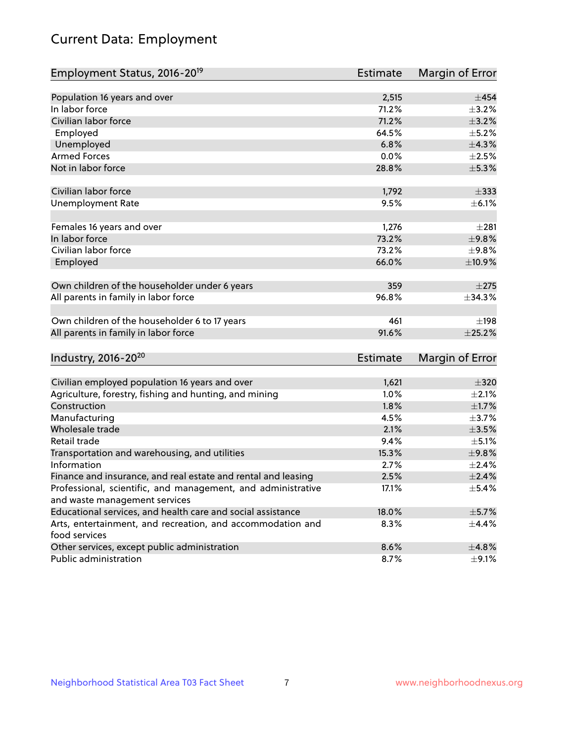# Current Data: Employment

| Employment Status, 2016-20 <sup>19</sup>                                    | <b>Estimate</b> | Margin of Error |
|-----------------------------------------------------------------------------|-----------------|-----------------|
|                                                                             |                 |                 |
| Population 16 years and over                                                | 2,515           | ±454            |
| In labor force                                                              | 71.2%           | $\pm$ 3.2%      |
| Civilian labor force                                                        | 71.2%           | $\pm$ 3.2%      |
| Employed                                                                    | 64.5%           | $\pm$ 5.2%      |
| Unemployed                                                                  | 6.8%            | ±4.3%           |
| <b>Armed Forces</b>                                                         | 0.0%            | $\pm 2.5\%$     |
| Not in labor force                                                          | 28.8%           | $\pm$ 5.3%      |
| Civilian labor force                                                        | 1,792           | $\pm$ 333       |
| <b>Unemployment Rate</b>                                                    | 9.5%            | $\pm$ 6.1%      |
| Females 16 years and over                                                   | 1,276           | $\pm 281$       |
| In labor force                                                              | 73.2%           | ±9.8%           |
| Civilian labor force                                                        | 73.2%           | ±9.8%           |
| Employed                                                                    | 66.0%           | ±10.9%          |
|                                                                             |                 |                 |
| Own children of the householder under 6 years                               | 359             | $\pm 275$       |
| All parents in family in labor force                                        | 96.8%           | $\pm$ 34.3%     |
| Own children of the householder 6 to 17 years                               | 461             | ±198            |
| All parents in family in labor force                                        | 91.6%           | $\pm 25.2\%$    |
| Industry, 2016-20 <sup>20</sup>                                             | <b>Estimate</b> | Margin of Error |
|                                                                             |                 |                 |
| Civilian employed population 16 years and over                              | 1,621           | $\pm$ 320       |
| Agriculture, forestry, fishing and hunting, and mining                      | 1.0%            | $\pm 2.1\%$     |
| Construction                                                                | 1.8%            | $\pm1.7\%$      |
| Manufacturing                                                               | 4.5%            | $\pm$ 3.7%      |
| Wholesale trade                                                             | 2.1%            | $\pm 3.5\%$     |
| Retail trade                                                                | 9.4%            | $\pm$ 5.1%      |
| Transportation and warehousing, and utilities                               | 15.3%           | ±9.8%           |
| Information                                                                 | 2.7%            | $\pm 2.4\%$     |
| Finance and insurance, and real estate and rental and leasing               | 2.5%            | $\pm 2.4\%$     |
| Professional, scientific, and management, and administrative                | 17.1%           | $\pm$ 5.4%      |
| and waste management services                                               |                 |                 |
| Educational services, and health care and social assistance                 | 18.0%           | $\pm$ 5.7%      |
| Arts, entertainment, and recreation, and accommodation and<br>food services | 8.3%            | $\pm$ 4.4%      |
| Other services, except public administration                                | 8.6%            | ±4.8%           |
| Public administration                                                       | 8.7%            | $\pm$ 9.1%      |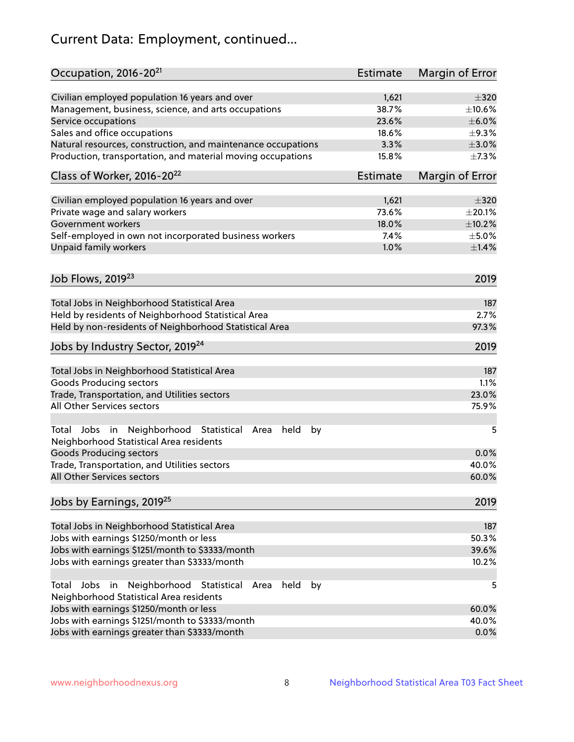# Current Data: Employment, continued...

| Occupation, 2016-20 <sup>21</sup>                                                                       | <b>Estimate</b> | Margin of Error |
|---------------------------------------------------------------------------------------------------------|-----------------|-----------------|
| Civilian employed population 16 years and over                                                          | 1,621           | $\pm$ 320       |
| Management, business, science, and arts occupations                                                     | 38.7%           | ±10.6%          |
| Service occupations                                                                                     | 23.6%           | $\pm$ 6.0%      |
| Sales and office occupations                                                                            | 18.6%           | $\pm$ 9.3%      |
| Natural resources, construction, and maintenance occupations                                            | 3.3%            | $\pm 3.0\%$     |
| Production, transportation, and material moving occupations                                             | 15.8%           | $\pm$ 7.3%      |
| Class of Worker, 2016-20 <sup>22</sup>                                                                  | Estimate        | Margin of Error |
| Civilian employed population 16 years and over                                                          | 1,621           | $\pm$ 320       |
| Private wage and salary workers                                                                         | 73.6%           | $\pm 20.1\%$    |
| Government workers                                                                                      | 18.0%           | ±10.2%          |
| Self-employed in own not incorporated business workers                                                  | 7.4%            | $\pm$ 5.0%      |
| Unpaid family workers                                                                                   | 1.0%            | $\pm1.4\%$      |
|                                                                                                         |                 |                 |
| Job Flows, 2019 <sup>23</sup>                                                                           |                 | 2019            |
| Total Jobs in Neighborhood Statistical Area                                                             |                 | 187             |
| Held by residents of Neighborhood Statistical Area                                                      |                 | 2.7%            |
| Held by non-residents of Neighborhood Statistical Area                                                  |                 | 97.3%           |
| Jobs by Industry Sector, 2019 <sup>24</sup>                                                             |                 | 2019            |
| Total Jobs in Neighborhood Statistical Area                                                             |                 | 187             |
| <b>Goods Producing sectors</b>                                                                          |                 | 1.1%            |
| Trade, Transportation, and Utilities sectors                                                            |                 | 23.0%           |
| All Other Services sectors                                                                              |                 | 75.9%           |
| Total Jobs in Neighborhood Statistical<br>held<br>by<br>Area<br>Neighborhood Statistical Area residents |                 | 5               |
| <b>Goods Producing sectors</b>                                                                          |                 | 0.0%            |
| Trade, Transportation, and Utilities sectors                                                            |                 | 40.0%           |
| All Other Services sectors                                                                              |                 | 60.0%           |
| Jobs by Earnings, 2019 <sup>25</sup>                                                                    |                 | 2019            |
| Total Jobs in Neighborhood Statistical Area                                                             |                 | 187             |
| Jobs with earnings \$1250/month or less                                                                 |                 | 50.3%           |
| Jobs with earnings \$1251/month to \$3333/month                                                         |                 | 39.6%           |
| Jobs with earnings greater than \$3333/month                                                            |                 | 10.2%           |
| Neighborhood Statistical<br>Jobs<br>in<br>held<br>by<br>Total<br>Area                                   |                 | 5               |
| Neighborhood Statistical Area residents                                                                 |                 |                 |
| Jobs with earnings \$1250/month or less                                                                 |                 | 60.0%           |
| Jobs with earnings \$1251/month to \$3333/month                                                         |                 | 40.0%           |
| Jobs with earnings greater than \$3333/month                                                            |                 | 0.0%            |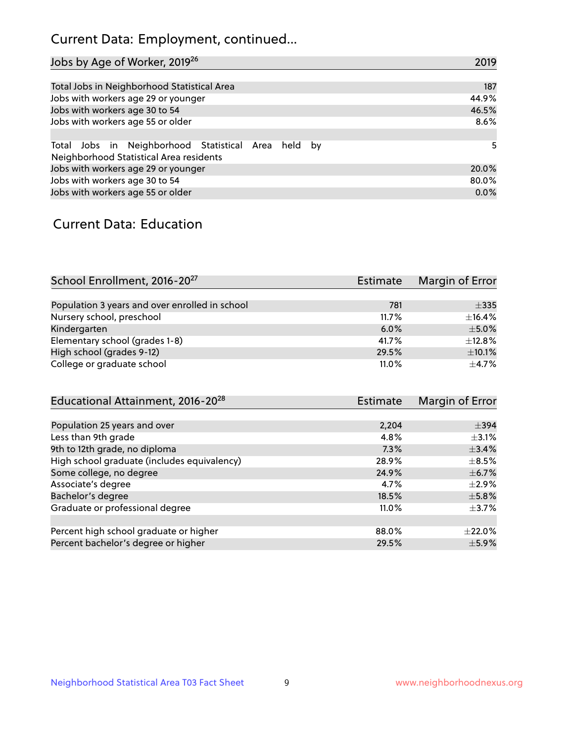## Current Data: Employment, continued...

| Jobs by Age of Worker, 2019 <sup>26</sup>                                                      | 2019  |
|------------------------------------------------------------------------------------------------|-------|
|                                                                                                |       |
| Total Jobs in Neighborhood Statistical Area                                                    | 187   |
| Jobs with workers age 29 or younger                                                            | 44.9% |
| Jobs with workers age 30 to 54                                                                 | 46.5% |
| Jobs with workers age 55 or older                                                              | 8.6%  |
|                                                                                                |       |
| Total Jobs in Neighborhood Statistical Area held by<br>Neighborhood Statistical Area residents | 5     |
| Jobs with workers age 29 or younger                                                            | 20.0% |
| Jobs with workers age 30 to 54                                                                 | 80.0% |
| Jobs with workers age 55 or older                                                              | 0.0%  |

### Current Data: Education

| School Enrollment, 2016-20 <sup>27</sup>       | <b>Estimate</b> | Margin of Error |
|------------------------------------------------|-----------------|-----------------|
|                                                |                 |                 |
| Population 3 years and over enrolled in school | 781             | $\pm$ 335       |
| Nursery school, preschool                      | 11.7%           | ±16.4%          |
| Kindergarten                                   | 6.0%            | $\pm$ 5.0%      |
| Elementary school (grades 1-8)                 | 41.7%           | ±12.8%          |
| High school (grades 9-12)                      | 29.5%           | $\pm$ 10.1%     |
| College or graduate school                     | 11.0%           | $+4.7%$         |

| Educational Attainment, 2016-20 <sup>28</sup> | <b>Estimate</b> | Margin of Error |
|-----------------------------------------------|-----------------|-----------------|
|                                               |                 |                 |
| Population 25 years and over                  | 2,204           | $\pm$ 394       |
| Less than 9th grade                           | 4.8%            | $\pm$ 3.1%      |
| 9th to 12th grade, no diploma                 | 7.3%            | ±3.4%           |
| High school graduate (includes equivalency)   | 28.9%           | $\pm$ 8.5%      |
| Some college, no degree                       | 24.9%           | $\pm$ 6.7%      |
| Associate's degree                            | 4.7%            | $\pm 2.9\%$     |
| Bachelor's degree                             | 18.5%           | $\pm$ 5.8%      |
| Graduate or professional degree               | 11.0%           | $\pm$ 3.7%      |
|                                               |                 |                 |
| Percent high school graduate or higher        | 88.0%           | $\pm 22.0\%$    |
| Percent bachelor's degree or higher           | 29.5%           | $\pm$ 5.9%      |
|                                               |                 |                 |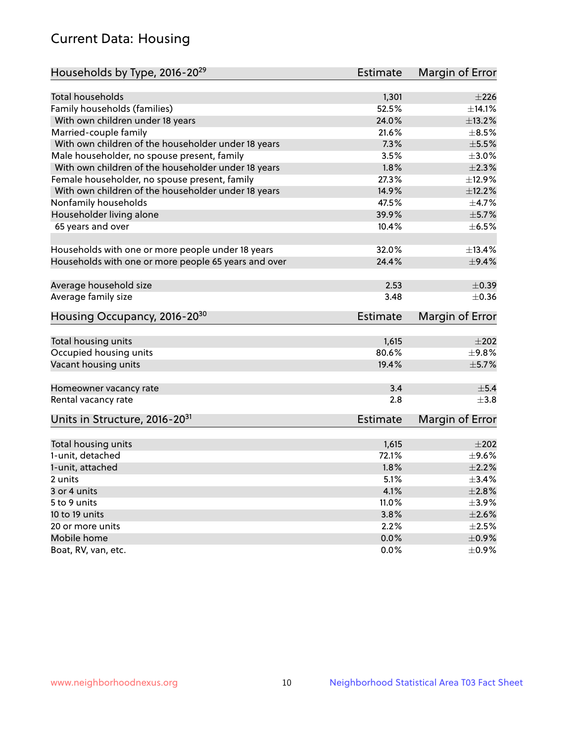## Current Data: Housing

| Households by Type, 2016-20 <sup>29</sup>            | <b>Estimate</b> | Margin of Error |
|------------------------------------------------------|-----------------|-----------------|
|                                                      |                 |                 |
| Total households                                     | 1,301           | ±226            |
| Family households (families)                         | 52.5%           | ±14.1%          |
| With own children under 18 years                     | 24.0%           | ±13.2%          |
| Married-couple family                                | 21.6%           | $\pm$ 8.5%      |
| With own children of the householder under 18 years  | 7.3%            | $\pm$ 5.5%      |
| Male householder, no spouse present, family          | 3.5%            | $\pm 3.0\%$     |
| With own children of the householder under 18 years  | 1.8%            | $\pm 2.3\%$     |
| Female householder, no spouse present, family        | 27.3%           | ±12.9%          |
| With own children of the householder under 18 years  | 14.9%           | ±12.2%          |
| Nonfamily households                                 | 47.5%           | $\pm$ 4.7%      |
| Householder living alone                             | 39.9%           | $\pm$ 5.7%      |
| 65 years and over                                    | 10.4%           | $\pm$ 6.5%      |
|                                                      |                 |                 |
| Households with one or more people under 18 years    | 32.0%           | ±13.4%          |
| Households with one or more people 65 years and over | 24.4%           | $\pm$ 9.4%      |
| Average household size                               | 2.53            | $\pm$ 0.39      |
| Average family size                                  | 3.48            | $\pm$ 0.36      |
|                                                      |                 |                 |
| Housing Occupancy, 2016-20 <sup>30</sup>             | <b>Estimate</b> | Margin of Error |
| Total housing units                                  | 1,615           | $\pm 202$       |
| Occupied housing units                               | 80.6%           | $\pm$ 9.8%      |
| Vacant housing units                                 | 19.4%           | $\pm$ 5.7%      |
|                                                      |                 |                 |
| Homeowner vacancy rate                               | 3.4             | ±5.4            |
| Rental vacancy rate                                  | 2.8             | $+3.8$          |
| Units in Structure, 2016-20 <sup>31</sup>            | Estimate        | Margin of Error |
|                                                      |                 |                 |
| Total housing units                                  | 1,615           | $\pm 202$       |
| 1-unit, detached                                     | 72.1%           | $\pm$ 9.6%      |
| 1-unit, attached                                     | 1.8%            | $\pm 2.2\%$     |
| 2 units                                              | 5.1%            | ±3.4%           |
| 3 or 4 units                                         | 4.1%            | $\pm 2.8\%$     |
| 5 to 9 units                                         | 11.0%           | $\pm$ 3.9%      |
| 10 to 19 units                                       | 3.8%            | $\pm 2.6\%$     |
| 20 or more units                                     | 2.2%            | $\pm 2.5\%$     |
| Mobile home                                          | 0.0%            | $\pm$ 0.9%      |
| Boat, RV, van, etc.                                  | $0.0\%$         | $\pm$ 0.9%      |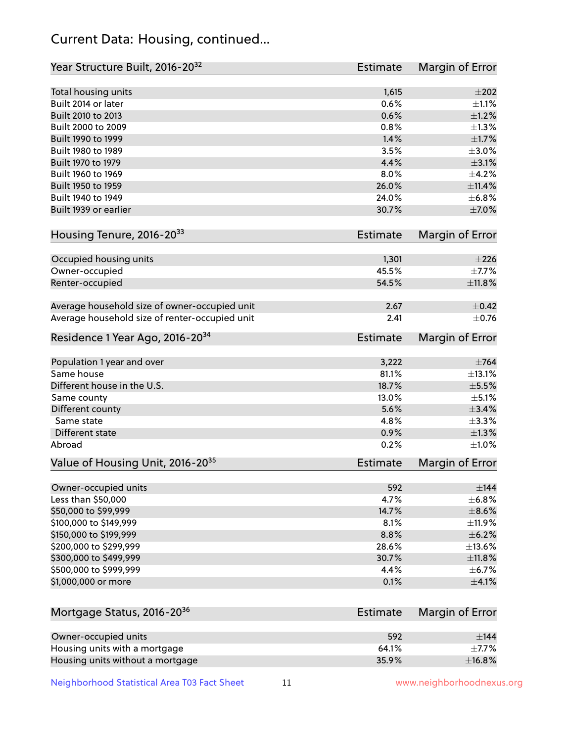## Current Data: Housing, continued...

| Year Structure Built, 2016-20 <sup>32</sup>    | <b>Estimate</b> | Margin of Error |
|------------------------------------------------|-----------------|-----------------|
| Total housing units                            | 1,615           | $\pm 202$       |
| Built 2014 or later                            | 0.6%            | $\pm 1.1\%$     |
| Built 2010 to 2013                             | 0.6%            | $\pm 1.2\%$     |
| Built 2000 to 2009                             | 0.8%            | $\pm 1.3\%$     |
| Built 1990 to 1999                             | 1.4%            | $\pm1.7\%$      |
| Built 1980 to 1989                             | 3.5%            | $\pm 3.0\%$     |
| Built 1970 to 1979                             | 4.4%            | $\pm$ 3.1%      |
| Built 1960 to 1969                             | 8.0%            | $\pm$ 4.2%      |
| Built 1950 to 1959                             | 26.0%           | $\pm$ 11.4%     |
| Built 1940 to 1949                             | 24.0%           | ±6.8%           |
| Built 1939 or earlier                          | 30.7%           | $\pm$ 7.0%      |
|                                                |                 |                 |
| Housing Tenure, 2016-2033                      | <b>Estimate</b> | Margin of Error |
| Occupied housing units                         | 1,301           | $\pm 226$       |
| Owner-occupied                                 | 45.5%           | $\pm$ 7.7%      |
| Renter-occupied                                | 54.5%           | $\pm$ 11.8%     |
|                                                |                 |                 |
| Average household size of owner-occupied unit  | 2.67            | $\pm$ 0.42      |
| Average household size of renter-occupied unit | 2.41            | $\pm$ 0.76      |
| Residence 1 Year Ago, 2016-20 <sup>34</sup>    | <b>Estimate</b> | Margin of Error |
|                                                |                 |                 |
| Population 1 year and over                     | 3,222           | $\pm 764$       |
| Same house                                     | 81.1%           | ±13.1%          |
| Different house in the U.S.                    | 18.7%           | $\pm$ 5.5%      |
| Same county                                    | 13.0%           | $\pm$ 5.1%      |
| Different county                               | 5.6%            | $\pm$ 3.4%      |
| Same state                                     | 4.8%            | ±3.3%           |
| <b>Different state</b>                         | 0.9%            | $\pm 1.3\%$     |
| Abroad                                         | 0.2%            | $\pm1.0\%$      |
| Value of Housing Unit, 2016-20 <sup>35</sup>   | <b>Estimate</b> | Margin of Error |
| Owner-occupied units                           | 592             | $\pm$ 144       |
| Less than \$50,000                             | 4.7%            | ±6.8%           |
| \$50,000 to \$99,999                           | 14.7%           | $\pm$ 8.6%      |
| \$100,000 to \$149,999                         | 8.1%            | $\pm$ 11.9%     |
| \$150,000 to \$199,999                         | 8.8%            | $\pm$ 6.2%      |
| \$200,000 to \$299,999                         | 28.6%           | ±13.6%          |
| \$300,000 to \$499,999                         | 30.7%           | ±11.8%          |
| \$500,000 to \$999,999                         | 4.4%            | $\pm$ 6.7%      |
| \$1,000,000 or more                            | 0.1%            | $\pm 4.1\%$     |
|                                                |                 |                 |
| Mortgage Status, 2016-20 <sup>36</sup>         | <b>Estimate</b> | Margin of Error |
| Owner-occupied units                           | 592             | $\pm$ 144       |
| Housing units with a mortgage                  | 64.1%           | $\pm$ 7.7%      |
| Housing units without a mortgage               | 35.9%           | ±16.8%          |

Neighborhood Statistical Area T03 Fact Sheet 11 11 www.neighborhoodnexus.org

Housing units without a mortgage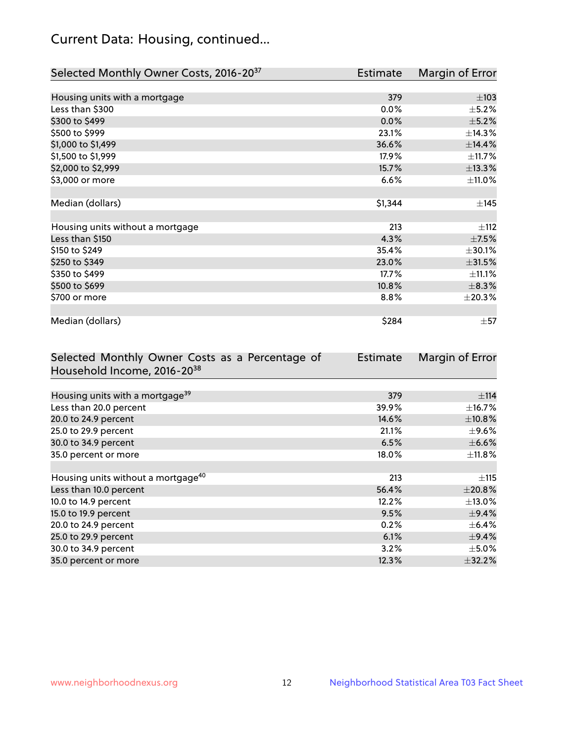## Current Data: Housing, continued...

| Selected Monthly Owner Costs, 2016-20 <sup>37</sup> | <b>Estimate</b> | Margin of Error |
|-----------------------------------------------------|-----------------|-----------------|
|                                                     |                 |                 |
| Housing units with a mortgage                       | 379             | $\pm 103$       |
| Less than \$300                                     | 0.0%            | $\pm$ 5.2%      |
| \$300 to \$499                                      | 0.0%            | $\pm$ 5.2%      |
| \$500 to \$999                                      | 23.1%           | ±14.3%          |
| \$1,000 to \$1,499                                  | 36.6%           | ±14.4%          |
| \$1,500 to \$1,999                                  | 17.9%           | $\pm$ 11.7%     |
| \$2,000 to \$2,999                                  | 15.7%           | ±13.3%          |
| \$3,000 or more                                     | 6.6%            | ±11.0%          |
|                                                     |                 |                 |
| Median (dollars)                                    | \$1,344         | $\pm$ 145       |
|                                                     |                 |                 |
| Housing units without a mortgage                    | 213             | ±112            |
| Less than \$150                                     | 4.3%            | $\pm$ 7.5%      |
| \$150 to \$249                                      | 35.4%           | $\pm 30.1\%$    |
| \$250 to \$349                                      | 23.0%           | $\pm$ 31.5%     |
| \$350 to \$499                                      | 17.7%           | ±11.1%          |
| \$500 to \$699                                      | 10.8%           | $\pm$ 8.3%      |
| \$700 or more                                       | 8.8%            | ±20.3%          |
|                                                     |                 |                 |
| Median (dollars)                                    | \$284           | $\pm$ 57        |

| Selected Monthly Owner Costs as a Percentage of | Estimate | Margin of Error |
|-------------------------------------------------|----------|-----------------|
| Household Income, 2016-20 <sup>38</sup>         |          |                 |
|                                                 |          |                 |
| Housing units with a mortgage <sup>39</sup>     | 379      | $\pm$ 114       |
| Less than 20.0 percent                          | 39.9%    | $\pm$ 16.7%     |
| 20.0 to 24.9 percent                            | 14.6%    | ±10.8%          |
| 25.0 to 29.9 percent                            | 21.1%    | $\pm$ 9.6%      |
| 30.0 to 34.9 percent                            | 6.5%     | $\pm$ 6.6%      |
| 35.0 percent or more                            | 18.0%    | $\pm$ 11.8%     |
|                                                 |          |                 |
| Housing units without a mortgage <sup>40</sup>  | 213      | $\pm$ 115       |
| Less than 10.0 percent                          | 56.4%    | ±20.8%          |
| 10.0 to 14.9 percent                            | 12.2%    | $\pm$ 13.0%     |
| 15.0 to 19.9 percent                            | 9.5%     | $\pm$ 9.4%      |
| 20.0 to 24.9 percent                            | 0.2%     | $\pm$ 6.4%      |
| 25.0 to 29.9 percent                            | 6.1%     | $\pm$ 9.4%      |
| 30.0 to 34.9 percent                            | 3.2%     | $\pm$ 5.0%      |
| 35.0 percent or more                            | 12.3%    | $\pm$ 32.2%     |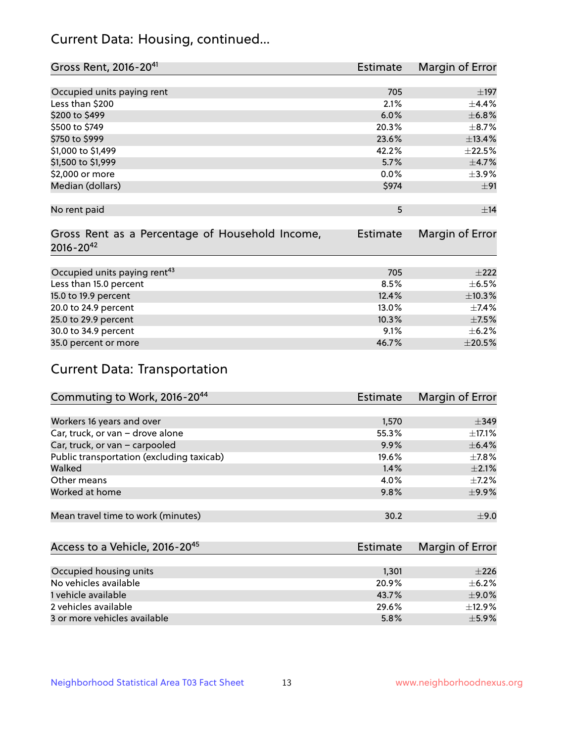## Current Data: Housing, continued...

| Gross Rent, 2016-20 <sup>41</sup>               | <b>Estimate</b> | Margin of Error |
|-------------------------------------------------|-----------------|-----------------|
|                                                 |                 |                 |
| Occupied units paying rent                      | 705             | $\pm$ 197       |
| Less than \$200                                 | 2.1%            | ±4.4%           |
| \$200 to \$499                                  | 6.0%            | ±6.8%           |
| \$500 to \$749                                  | 20.3%           | $\pm$ 8.7%      |
| \$750 to \$999                                  | 23.6%           | ±13.4%          |
| \$1,000 to \$1,499                              | 42.2%           | $\pm 22.5\%$    |
| \$1,500 to \$1,999                              | 5.7%            | $\pm$ 4.7%      |
| \$2,000 or more                                 | 0.0%            | $\pm$ 3.9%      |
| Median (dollars)                                | \$974           | ±91             |
|                                                 |                 |                 |
| No rent paid                                    | 5               | ±14             |
|                                                 |                 |                 |
| Gross Rent as a Percentage of Household Income, | <b>Estimate</b> | Margin of Error |
| $2016 - 20^{42}$                                |                 |                 |
|                                                 |                 |                 |
| Occupied units paying rent <sup>43</sup>        | 705             | $\pm 222$       |
| Less than 15.0 percent                          | 8.5%            | $\pm$ 6.5%      |
| 15.0 to 19.9 percent                            | 12.4%           | ±10.3%          |
| 20.0 to 24.9 percent                            | 13.0%           | $\pm$ 7.4%      |
| 25.0 to 29.9 percent                            | 10.3%           | $\pm$ 7.5%      |
| 30.0 to 34.9 percent                            | 9.1%            | $\pm$ 6.2%      |
| 35.0 percent or more                            | 46.7%           | $\pm 20.5\%$    |

# Current Data: Transportation

| Commuting to Work, 2016-20 <sup>44</sup>  | <b>Estimate</b> | Margin of Error |
|-------------------------------------------|-----------------|-----------------|
|                                           |                 |                 |
| Workers 16 years and over                 | 1,570           | $\pm$ 349       |
| Car, truck, or van - drove alone          | 55.3%           | $\pm$ 17.1%     |
| Car, truck, or van - carpooled            | 9.9%            | $\pm$ 6.4%      |
| Public transportation (excluding taxicab) | 19.6%           | $\pm$ 7.8%      |
| Walked                                    | 1.4%            | $\pm 2.1\%$     |
| Other means                               | 4.0%            | $\pm$ 7.2%      |
| Worked at home                            | 9.8%            | $\pm$ 9.9%      |
|                                           |                 |                 |
| Mean travel time to work (minutes)        | 30.2            | ±9.0            |

| Access to a Vehicle, 2016-20 <sup>45</sup> | Estimate | Margin of Error |
|--------------------------------------------|----------|-----------------|
|                                            |          |                 |
| Occupied housing units                     | 1,301    | $\pm 226$       |
| No vehicles available                      | 20.9%    | $\pm$ 6.2%      |
| 1 vehicle available                        | 43.7%    | $\pm$ 9.0%      |
| 2 vehicles available                       | 29.6%    | $\pm$ 12.9%     |
| 3 or more vehicles available               | 5.8%     | $+5.9%$         |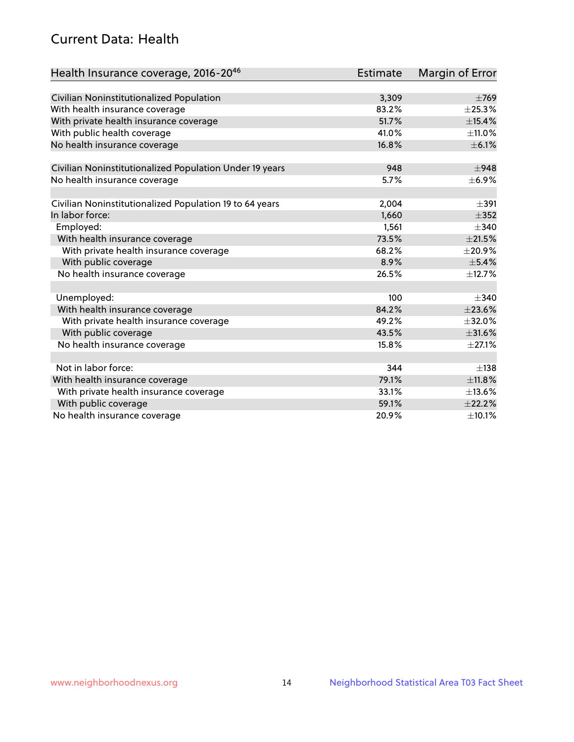## Current Data: Health

| Health Insurance coverage, 2016-2046                    | <b>Estimate</b> | Margin of Error |
|---------------------------------------------------------|-----------------|-----------------|
|                                                         |                 |                 |
| Civilian Noninstitutionalized Population                | 3,309           | $\pm 769$       |
| With health insurance coverage                          | 83.2%           | $\pm$ 25.3%     |
| With private health insurance coverage                  | 51.7%           | $\pm$ 15.4%     |
| With public health coverage                             | 41.0%           | ±11.0%          |
| No health insurance coverage                            | 16.8%           | $\pm$ 6.1%      |
| Civilian Noninstitutionalized Population Under 19 years | 948             | $\pm$ 948       |
| No health insurance coverage                            | 5.7%            | $\pm$ 6.9%      |
|                                                         |                 |                 |
| Civilian Noninstitutionalized Population 19 to 64 years | 2,004           | $\pm$ 391       |
| In labor force:                                         | 1,660           | $\pm$ 352       |
| Employed:                                               | 1,561           | $\pm$ 340       |
| With health insurance coverage                          | 73.5%           | $\pm 21.5\%$    |
| With private health insurance coverage                  | 68.2%           | $\pm 20.9\%$    |
| With public coverage                                    | 8.9%            | ±5.4%           |
| No health insurance coverage                            | 26.5%           | ±12.7%          |
|                                                         |                 |                 |
| Unemployed:                                             | 100             | $\pm$ 340       |
| With health insurance coverage                          | 84.2%           | ±23.6%          |
| With private health insurance coverage                  | 49.2%           | ±32.0%          |
| With public coverage                                    | 43.5%           | ±31.6%          |
| No health insurance coverage                            | 15.8%           | $\pm 27.1\%$    |
|                                                         |                 |                 |
| Not in labor force:                                     | 344             | $\pm$ 138       |
| With health insurance coverage                          | 79.1%           | ±11.8%          |
| With private health insurance coverage                  | 33.1%           | ±13.6%          |
| With public coverage                                    | 59.1%           | ±22.2%          |
| No health insurance coverage                            | 20.9%           | $\pm$ 10.1%     |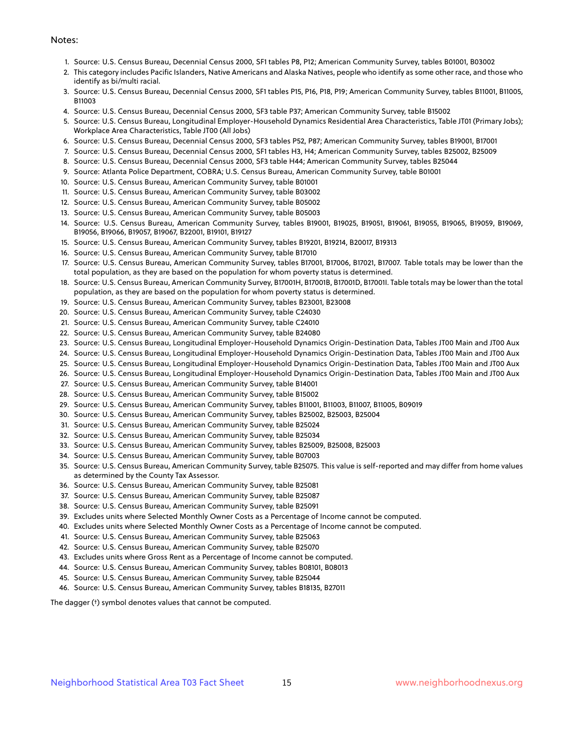#### Notes:

- 1. Source: U.S. Census Bureau, Decennial Census 2000, SF1 tables P8, P12; American Community Survey, tables B01001, B03002
- 2. This category includes Pacific Islanders, Native Americans and Alaska Natives, people who identify as some other race, and those who identify as bi/multi racial.
- 3. Source: U.S. Census Bureau, Decennial Census 2000, SF1 tables P15, P16, P18, P19; American Community Survey, tables B11001, B11005, B11003
- 4. Source: U.S. Census Bureau, Decennial Census 2000, SF3 table P37; American Community Survey, table B15002
- 5. Source: U.S. Census Bureau, Longitudinal Employer-Household Dynamics Residential Area Characteristics, Table JT01 (Primary Jobs); Workplace Area Characteristics, Table JT00 (All Jobs)
- 6. Source: U.S. Census Bureau, Decennial Census 2000, SF3 tables P52, P87; American Community Survey, tables B19001, B17001
- 7. Source: U.S. Census Bureau, Decennial Census 2000, SF1 tables H3, H4; American Community Survey, tables B25002, B25009
- 8. Source: U.S. Census Bureau, Decennial Census 2000, SF3 table H44; American Community Survey, tables B25044
- 9. Source: Atlanta Police Department, COBRA; U.S. Census Bureau, American Community Survey, table B01001
- 10. Source: U.S. Census Bureau, American Community Survey, table B01001
- 11. Source: U.S. Census Bureau, American Community Survey, table B03002
- 12. Source: U.S. Census Bureau, American Community Survey, table B05002
- 13. Source: U.S. Census Bureau, American Community Survey, table B05003
- 14. Source: U.S. Census Bureau, American Community Survey, tables B19001, B19025, B19051, B19061, B19055, B19065, B19059, B19069, B19056, B19066, B19057, B19067, B22001, B19101, B19127
- 15. Source: U.S. Census Bureau, American Community Survey, tables B19201, B19214, B20017, B19313
- 16. Source: U.S. Census Bureau, American Community Survey, table B17010
- 17. Source: U.S. Census Bureau, American Community Survey, tables B17001, B17006, B17021, B17007. Table totals may be lower than the total population, as they are based on the population for whom poverty status is determined.
- 18. Source: U.S. Census Bureau, American Community Survey, B17001H, B17001B, B17001D, B17001I. Table totals may be lower than the total population, as they are based on the population for whom poverty status is determined.
- 19. Source: U.S. Census Bureau, American Community Survey, tables B23001, B23008
- 20. Source: U.S. Census Bureau, American Community Survey, table C24030
- 21. Source: U.S. Census Bureau, American Community Survey, table C24010
- 22. Source: U.S. Census Bureau, American Community Survey, table B24080
- 23. Source: U.S. Census Bureau, Longitudinal Employer-Household Dynamics Origin-Destination Data, Tables JT00 Main and JT00 Aux
- 24. Source: U.S. Census Bureau, Longitudinal Employer-Household Dynamics Origin-Destination Data, Tables JT00 Main and JT00 Aux
- 25. Source: U.S. Census Bureau, Longitudinal Employer-Household Dynamics Origin-Destination Data, Tables JT00 Main and JT00 Aux
- 26. Source: U.S. Census Bureau, Longitudinal Employer-Household Dynamics Origin-Destination Data, Tables JT00 Main and JT00 Aux
- 27. Source: U.S. Census Bureau, American Community Survey, table B14001
- 28. Source: U.S. Census Bureau, American Community Survey, table B15002
- 29. Source: U.S. Census Bureau, American Community Survey, tables B11001, B11003, B11007, B11005, B09019
- 30. Source: U.S. Census Bureau, American Community Survey, tables B25002, B25003, B25004
- 31. Source: U.S. Census Bureau, American Community Survey, table B25024
- 32. Source: U.S. Census Bureau, American Community Survey, table B25034
- 33. Source: U.S. Census Bureau, American Community Survey, tables B25009, B25008, B25003
- 34. Source: U.S. Census Bureau, American Community Survey, table B07003
- 35. Source: U.S. Census Bureau, American Community Survey, table B25075. This value is self-reported and may differ from home values as determined by the County Tax Assessor.
- 36. Source: U.S. Census Bureau, American Community Survey, table B25081
- 37. Source: U.S. Census Bureau, American Community Survey, table B25087
- 38. Source: U.S. Census Bureau, American Community Survey, table B25091
- 39. Excludes units where Selected Monthly Owner Costs as a Percentage of Income cannot be computed.
- 40. Excludes units where Selected Monthly Owner Costs as a Percentage of Income cannot be computed.
- 41. Source: U.S. Census Bureau, American Community Survey, table B25063
- 42. Source: U.S. Census Bureau, American Community Survey, table B25070
- 43. Excludes units where Gross Rent as a Percentage of Income cannot be computed.
- 44. Source: U.S. Census Bureau, American Community Survey, tables B08101, B08013
- 45. Source: U.S. Census Bureau, American Community Survey, table B25044
- 46. Source: U.S. Census Bureau, American Community Survey, tables B18135, B27011

The dagger (†) symbol denotes values that cannot be computed.